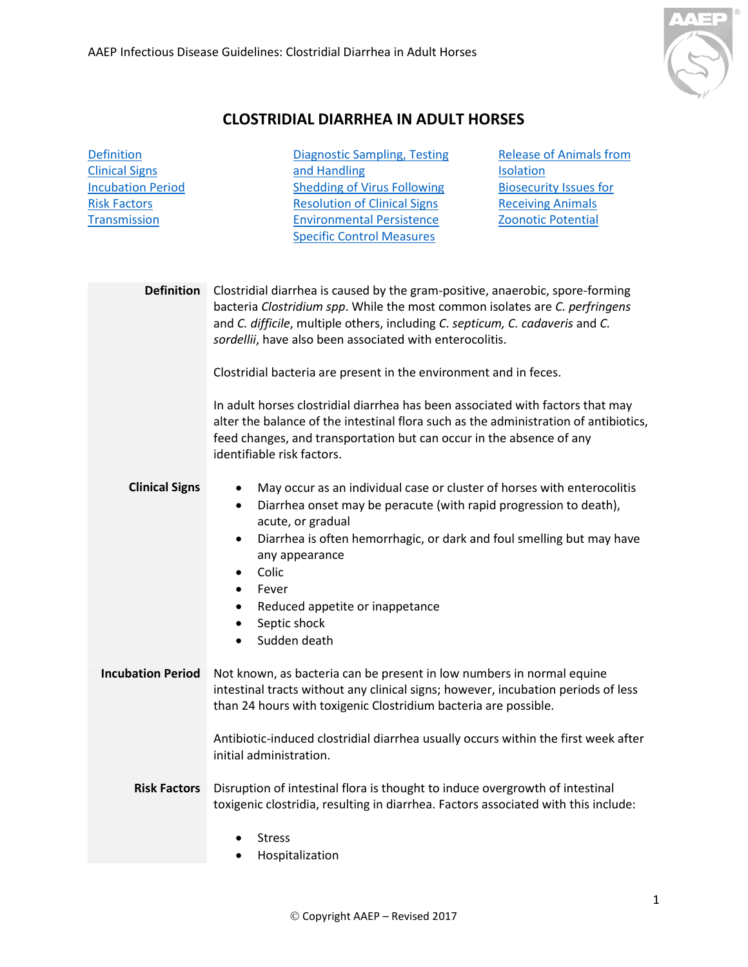

## **CLOSTRIDIAL DIARRHEA IN ADULT HORSES**

<span id="page-0-3"></span><span id="page-0-2"></span><span id="page-0-1"></span><span id="page-0-0"></span>

| <b>Diagnostic Sampling, Testing</b><br>and Handling<br><b>Shedding of Virus Following</b><br><b>Resolution of Clinical Signs</b><br><b>Environmental Persistence</b><br><b>Specific Control Measures</b>                                                                                                                                                                                                                     | <b>Release of Animals from</b><br><b>Isolation</b><br><b>Biosecurity Issues for</b><br><b>Receiving Animals</b><br><b>Zoonotic Potential</b> |
|------------------------------------------------------------------------------------------------------------------------------------------------------------------------------------------------------------------------------------------------------------------------------------------------------------------------------------------------------------------------------------------------------------------------------|----------------------------------------------------------------------------------------------------------------------------------------------|
| Clostridial diarrhea is caused by the gram-positive, anaerobic, spore-forming<br>bacteria Clostridium spp. While the most common isolates are C. perfringens<br>and C. difficile, multiple others, including C. septicum, C. cadaveris and C.<br>sordellii, have also been associated with enterocolitis.                                                                                                                    |                                                                                                                                              |
| Clostridial bacteria are present in the environment and in feces.<br>In adult horses clostridial diarrhea has been associated with factors that may<br>alter the balance of the intestinal flora such as the administration of antibiotics,<br>feed changes, and transportation but can occur in the absence of any<br>identifiable risk factors.                                                                            |                                                                                                                                              |
| May occur as an individual case or cluster of horses with enterocolitis<br>٠<br>Diarrhea onset may be peracute (with rapid progression to death),<br>$\bullet$<br>acute, or gradual<br>Diarrhea is often hemorrhagic, or dark and foul smelling but may have<br>$\bullet$<br>any appearance<br>Colic<br>$\bullet$<br>Fever<br>$\bullet$<br>Reduced appetite or inappetance<br>٠<br>Septic shock<br>$\bullet$<br>Sudden death |                                                                                                                                              |
| Not known, as bacteria can be present in low numbers in normal equine<br>intestinal tracts without any clinical signs; however, incubation periods of less<br>than 24 hours with toxigenic Clostridium bacteria are possible.                                                                                                                                                                                                |                                                                                                                                              |
| Antibiotic-induced clostridial diarrhea usually occurs within the first week after<br>initial administration.<br>Disruption of intestinal flora is thought to induce overgrowth of intestinal                                                                                                                                                                                                                                |                                                                                                                                              |
| <b>Stress</b><br>Hospitalization                                                                                                                                                                                                                                                                                                                                                                                             |                                                                                                                                              |
|                                                                                                                                                                                                                                                                                                                                                                                                                              | toxigenic clostridia, resulting in diarrhea. Factors associated with this include:                                                           |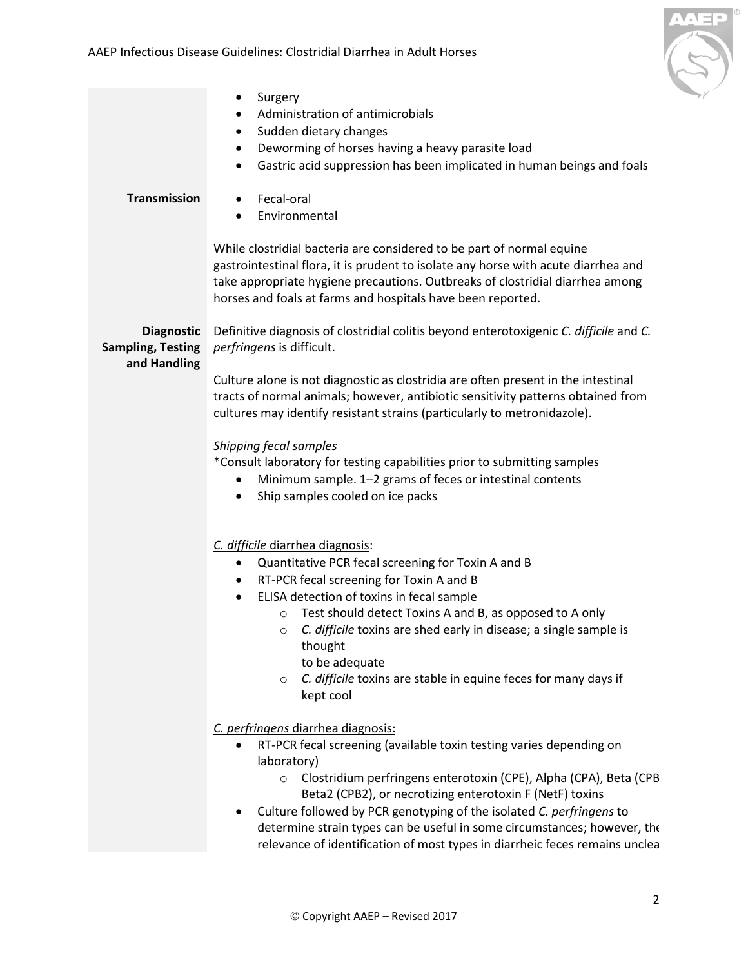

<span id="page-1-1"></span><span id="page-1-0"></span>

| <b>Transmission</b>                                           | Surgery<br>٠<br>Administration of antimicrobials<br>$\bullet$<br>Sudden dietary changes<br>$\bullet$<br>Deworming of horses having a heavy parasite load<br>٠<br>Gastric acid suppression has been implicated in human beings and foals<br>$\bullet$<br>Fecal-oral<br>$\bullet$<br>Environmental<br>$\bullet$<br>While clostridial bacteria are considered to be part of normal equine                                                                                                                  |
|---------------------------------------------------------------|---------------------------------------------------------------------------------------------------------------------------------------------------------------------------------------------------------------------------------------------------------------------------------------------------------------------------------------------------------------------------------------------------------------------------------------------------------------------------------------------------------|
|                                                               | gastrointestinal flora, it is prudent to isolate any horse with acute diarrhea and<br>take appropriate hygiene precautions. Outbreaks of clostridial diarrhea among<br>horses and foals at farms and hospitals have been reported.                                                                                                                                                                                                                                                                      |
| <b>Diagnostic</b><br><b>Sampling, Testing</b><br>and Handling | Definitive diagnosis of clostridial colitis beyond enterotoxigenic C. difficile and C.<br>perfringens is difficult.<br>Culture alone is not diagnostic as clostridia are often present in the intestinal                                                                                                                                                                                                                                                                                                |
|                                                               | tracts of normal animals; however, antibiotic sensitivity patterns obtained from<br>cultures may identify resistant strains (particularly to metronidazole).                                                                                                                                                                                                                                                                                                                                            |
|                                                               | Shipping fecal samples<br>*Consult laboratory for testing capabilities prior to submitting samples<br>Minimum sample. 1-2 grams of feces or intestinal contents<br>Ship samples cooled on ice packs                                                                                                                                                                                                                                                                                                     |
|                                                               | C. difficile diarrhea diagnosis:<br>Quantitative PCR fecal screening for Toxin A and B<br>٠<br>RT-PCR fecal screening for Toxin A and B<br>$\bullet$<br>ELISA detection of toxins in fecal sample<br>$\bullet$<br>Test should detect Toxins A and B, as opposed to A only<br>$\circ$<br>$\circ$ <i>C. difficile</i> toxins are shed early in disease; a single sample is<br>thought<br>to be adequate<br>C. difficile toxins are stable in equine feces for many days if<br>$\circ$<br>kept cool        |
|                                                               | C. perfringens diarrhea diagnosis:<br>RT-PCR fecal screening (available toxin testing varies depending on<br>laboratory)<br>Clostridium perfringens enterotoxin (CPE), Alpha (CPA), Beta (CPB<br>$\circ$<br>Beta2 (CPB2), or necrotizing enterotoxin F (NetF) toxins<br>Culture followed by PCR genotyping of the isolated C. perfringens to<br>determine strain types can be useful in some circumstances; however, the<br>relevance of identification of most types in diarrheic feces remains unclea |